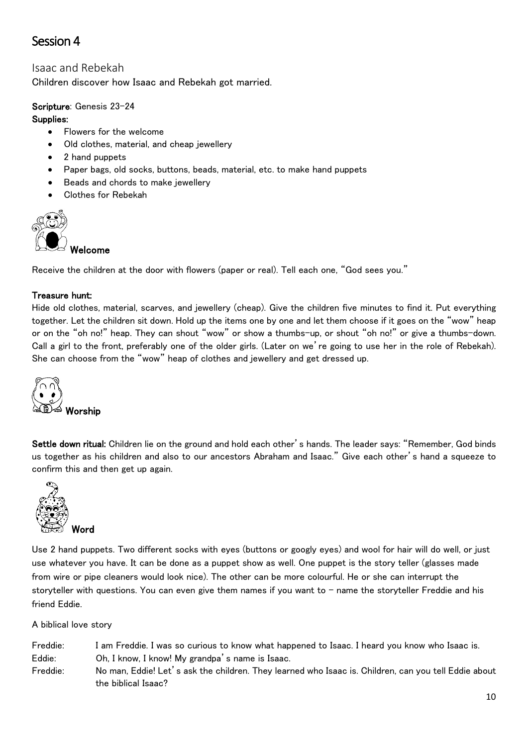# Session 4

# Isaac and Rebekah

Children discover how Isaac and Rebekah got married.

## Scripture: Genesis 23-24

#### Supplies:

- Flowers for the welcome
- Old clothes, material, and cheap jewellery
- 2 hand puppets
- Paper bags, old socks, buttons, beads, material, etc. to make hand puppets
- Beads and chords to make jewellery
- Clothes for Rebekah



Receive the children at the door with flowers (paper or real). Tell each one, "God sees you."

# Treasure hunt:

Hide old clothes, material, scarves, and jewellery (cheap). Give the children five minutes to find it. Put everything together. Let the children sit down. Hold up the items one by one and let them choose if it goes on the "wow" heap or on the "oh no!" heap. They can shout "wow" or show a thumbs-up, or shout "oh no!" or give a thumbs-down. Call a girl to the front, preferably one of the older girls. (Later on we're going to use her in the role of Rebekah). She can choose from the "wow" heap of clothes and jewellery and get dressed up.



Settle down ritual: Children lie on the ground and hold each other's hands. The leader says: "Remember, God binds us together as his children and also to our ancestors Abraham and Isaac." Give each other's hand a squeeze to confirm this and then get up again.



Use 2 hand puppets. Two different socks with eyes (buttons or googly eyes) and wool for hair will do well, or just use whatever you have. It can be done as a puppet show as well. One puppet is the story teller (glasses made from wire or pipe cleaners would look nice). The other can be more colourful. He or she can interrupt the storyteller with questions. You can even give them names if you want to – name the storyteller Freddie and his friend Eddie.

A biblical love story

Freddie: I am Freddie. I was so curious to know what happened to Isaac. I heard you know who Isaac is. Eddie: Oh, I know, I know! My grandpa's name is Isaac. Freddie: No man, Eddie! Let's ask the children. They learned who Isaac is. Children, can you tell Eddie about the biblical Isaac?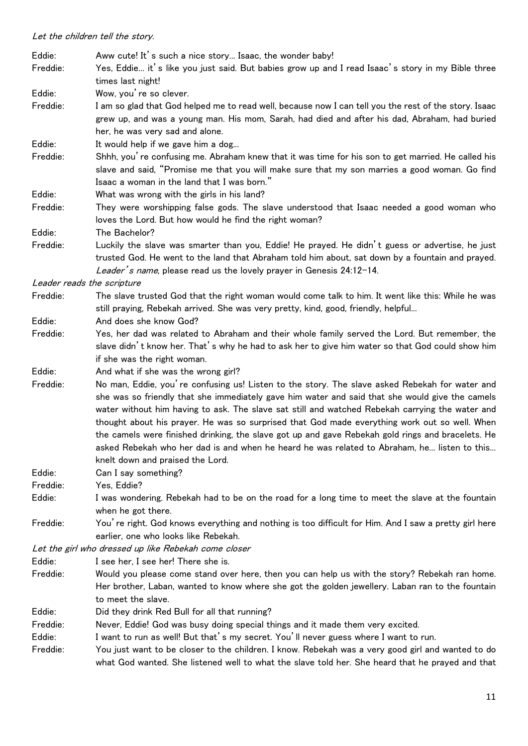| Eddie:   | Aww cute! It's such a nice story Isaac, the wonder baby!                                                                                                                                                                                                                                                                                                                                                                                                                                                                                                                                                                                                                             |
|----------|--------------------------------------------------------------------------------------------------------------------------------------------------------------------------------------------------------------------------------------------------------------------------------------------------------------------------------------------------------------------------------------------------------------------------------------------------------------------------------------------------------------------------------------------------------------------------------------------------------------------------------------------------------------------------------------|
| Freddie: | Yes, Eddie it's like you just said. But babies grow up and I read Isaac's story in my Bible three<br>times last night!                                                                                                                                                                                                                                                                                                                                                                                                                                                                                                                                                               |
| Eddie:   | Wow, you're so clever.                                                                                                                                                                                                                                                                                                                                                                                                                                                                                                                                                                                                                                                               |
| Freddie: | I am so glad that God helped me to read well, because now I can tell you the rest of the story. Isaac<br>grew up, and was a young man. His mom, Sarah, had died and after his dad, Abraham, had buried<br>her, he was very sad and alone.                                                                                                                                                                                                                                                                                                                                                                                                                                            |
| Eddie:   | It would help if we gave him a dog                                                                                                                                                                                                                                                                                                                                                                                                                                                                                                                                                                                                                                                   |
| Freddie: | Shhh, you' re confusing me. Abraham knew that it was time for his son to get married. He called his<br>slave and said, "Promise me that you will make sure that my son marries a good woman. Go find<br>Isaac a woman in the land that I was born."                                                                                                                                                                                                                                                                                                                                                                                                                                  |
| Eddie:   | What was wrong with the girls in his land?                                                                                                                                                                                                                                                                                                                                                                                                                                                                                                                                                                                                                                           |
| Freddie: | They were worshipping false gods. The slave understood that Isaac needed a good woman who<br>loves the Lord. But how would he find the right woman?                                                                                                                                                                                                                                                                                                                                                                                                                                                                                                                                  |
| Eddie:   | The Bachelor?                                                                                                                                                                                                                                                                                                                                                                                                                                                                                                                                                                                                                                                                        |
| Freddie: | Luckily the slave was smarter than you, Eddie! He prayed. He didn't guess or advertise, he just<br>trusted God. He went to the land that Abraham told him about, sat down by a fountain and prayed.<br>Leader's name, please read us the lovely prayer in Genesis 24:12-14.                                                                                                                                                                                                                                                                                                                                                                                                          |
|          | Leader reads the scripture                                                                                                                                                                                                                                                                                                                                                                                                                                                                                                                                                                                                                                                           |
| Freddie: | The slave trusted God that the right woman would come talk to him. It went like this: While he was<br>still praying, Rebekah arrived. She was very pretty, kind, good, friendly, helpful                                                                                                                                                                                                                                                                                                                                                                                                                                                                                             |
| Eddie:   | And does she know God?                                                                                                                                                                                                                                                                                                                                                                                                                                                                                                                                                                                                                                                               |
| Freddie: | Yes, her dad was related to Abraham and their whole family served the Lord. But remember, the<br>slave didn't know her. That's why he had to ask her to give him water so that God could show him                                                                                                                                                                                                                                                                                                                                                                                                                                                                                    |
| Eddie:   | if she was the right woman.                                                                                                                                                                                                                                                                                                                                                                                                                                                                                                                                                                                                                                                          |
| Freddie: | And what if she was the wrong girl?<br>No man, Eddie, you're confusing us! Listen to the story. The slave asked Rebekah for water and<br>she was so friendly that she immediately gave him water and said that she would give the camels<br>water without him having to ask. The slave sat still and watched Rebekah carrying the water and<br>thought about his prayer. He was so surprised that God made everything work out so well. When<br>the camels were finished drinking, the slave got up and gave Rebekah gold rings and bracelets. He<br>asked Rebekah who her dad is and when he heard he was related to Abraham, he listen to this<br>knelt down and praised the Lord. |
| Eddie:   | Can I say something?                                                                                                                                                                                                                                                                                                                                                                                                                                                                                                                                                                                                                                                                 |
| Freddie: | Yes, Eddie?                                                                                                                                                                                                                                                                                                                                                                                                                                                                                                                                                                                                                                                                          |
| Eddie:   | I was wondering. Rebekah had to be on the road for a long time to meet the slave at the fountain<br>when he got there.                                                                                                                                                                                                                                                                                                                                                                                                                                                                                                                                                               |
| Freddie: | You' re right. God knows everything and nothing is too difficult for Him. And I saw a pretty girl here<br>earlier, one who looks like Rebekah.                                                                                                                                                                                                                                                                                                                                                                                                                                                                                                                                       |
|          | Let the girl who dressed up like Rebekah come closer                                                                                                                                                                                                                                                                                                                                                                                                                                                                                                                                                                                                                                 |
| Eddie:   | I see her, I see her! There she is.                                                                                                                                                                                                                                                                                                                                                                                                                                                                                                                                                                                                                                                  |
| Freddie: | Would you please come stand over here, then you can help us with the story? Rebekah ran home.<br>Her brother, Laban, wanted to know where she got the golden jewellery. Laban ran to the fountain<br>to meet the slave.                                                                                                                                                                                                                                                                                                                                                                                                                                                              |
| Eddie:   | Did they drink Red Bull for all that running?                                                                                                                                                                                                                                                                                                                                                                                                                                                                                                                                                                                                                                        |
| Freddie: | Never, Eddie! God was busy doing special things and it made them very excited.                                                                                                                                                                                                                                                                                                                                                                                                                                                                                                                                                                                                       |
| Eddie:   | I want to run as well! But that's my secret. You'll never guess where I want to run.                                                                                                                                                                                                                                                                                                                                                                                                                                                                                                                                                                                                 |
| Freddie: | You just want to be closer to the children. I know. Rebekah was a very good girl and wanted to do<br>what God wanted. She listened well to what the slave told her. She heard that he prayed and that                                                                                                                                                                                                                                                                                                                                                                                                                                                                                |